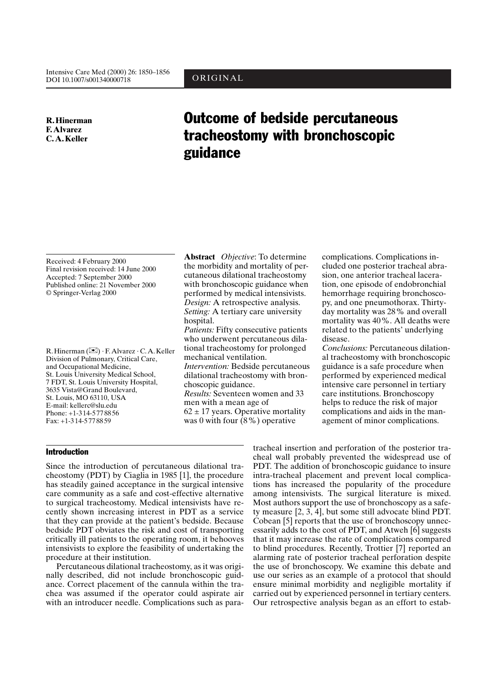ORIGINAL

**R.** Hinerman **F.** Alvarez C.A.Keller

# **Outcome of bedside percutaneous** tracheostomy with bronchoscopic guidance

Received: 4 February 2000 Final revision received: 14 June 2000 Accepted: 7 September 2000 Published online: 21 November 2000 © Springer-Verlag 2000

R. Hinerman  $(\boxtimes) \cdot$  F. Alvarez  $\cdot$  C. A. Keller Division of Pulmonary, Critical Care, and Occupational Medicine, St. Louis University Medical School, 7 FDT, St. Louis University Hospital, 3635 Vista@Grand Boulevard, St. Louis, MO 63110, USA E-mail: kellerc@slu.edu Phone: +1-314-5778856 Fax:  $+1-314-5778859$ 

**Abstract** *Objective*: To determine the morbidity and mortality of percutaneous dilational tracheostomy with bronchoscopic guidance when performed by medical intensivists. *Design:* A retrospective analysis. Setting: A tertiary care university hospital.

*Patients:* Fifty consecutive patients who underwent percutaneous dilational tracheostomy for prolonged mechanical ventilation. Intervention: Bedside percutaneous dilational tracheostomy with bron-

choscopic guidance. *Results:* Seventeen women and 33 men with a mean age of

 $62 \pm 17$  years. Operative mortality was 0 with four  $(8\%)$  operative

complications. Complications included one posterior tracheal abrasion, one anterior tracheal laceration, one episode of endobronchial hemorrhage requiring bronchoscopy, and one pneumothorax. Thirtyday mortality was 28% and overall mortality was 40%. All deaths were related to the patients' underlying disease.

Conclusions: Percutaneous dilational tracheostomy with bronchoscopic guidance is a safe procedure when performed by experienced medical intensive care personnel in tertiary care institutions. Bronchoscopy helps to reduce the risk of major complications and aids in the management of minor complications.

## **Introduction**

Since the introduction of percutaneous dilational tracheostomy (PDT) by Ciaglia in 1985 [1], the procedure has steadily gained acceptance in the surgical intensive care community as a safe and cost-effective alternative to surgical tracheostomy. Medical intensivists have recently shown increasing interest in PDT as a service that they can provide at the patient's bedside. Because bedside PDT obviates the risk and cost of transporting critically ill patients to the operating room, it behooves intensivists to explore the feasibility of undertaking the procedure at their institution.

Percutaneous dilational tracheostomy, as it was originally described, did not include bronchoscopic guidance. Correct placement of the cannula within the trachea was assumed if the operator could aspirate air with an introducer needle. Complications such as paratracheal insertion and perforation of the posterior tracheal wall probably prevented the widespread use of PDT. The addition of bronchoscopic guidance to insure intra-tracheal placement and prevent local complications has increased the popularity of the procedure among intensivists. The surgical literature is mixed. Most authors support the use of bronchoscopy as a safety measure  $[2, 3, 4]$ , but some still advocate blind PDT. Cobean [5] reports that the use of bronchoscopy unnecessarily adds to the cost of PDT, and Atweh [6] suggests that it may increase the rate of complications compared to blind procedures. Recently, Trottier [7] reported an alarming rate of posterior tracheal perforation despite the use of bronchoscopy. We examine this debate and use our series as an example of a protocol that should ensure minimal morbidity and negligible mortality if carried out by experienced personnel in tertiary centers. Our retrospective analysis began as an effort to estab-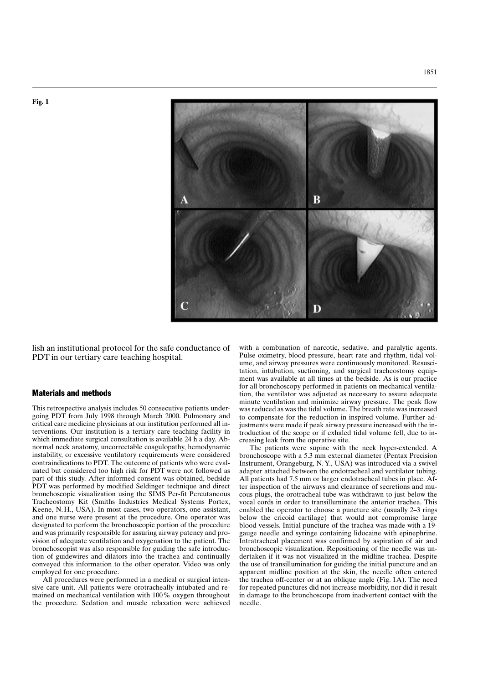



lish an institutional protocol for the safe conductance of PDT in our tertiary care teaching hospital.

### **Materials and methods**

This retrospective analysis includes 50 consecutive patients undergoing PDT from July 1998 through March 2000. Pulmonary and critical care medicine physicians at our institution performed all interventions. Our institution is a tertiary care teaching facility in which immediate surgical consultation is available 24 h a day. Abnormal neck anatomy, uncorrectable coagulopathy, hemodynamic instability, or excessive ventilatory requirements were considered contraindications to PDT. The outcome of patients who were evaluated but considered too high risk for PDT were not followed as part of this study. After informed consent was obtained, bedside PDT was performed by modified Seldinger technique and direct bronchoscopic visualization using the SIMS Per-fit Percutaneous Tracheostomy Kit (Smiths Industries Medical Systems Portex, Keene, N.H., USA). In most cases, two operators, one assistant, and one nurse were present at the procedure. One operator was designated to perform the bronchoscopic portion of the procedure and was primarily responsible for assuring airway patency and provision of adequate ventilation and oxygenation to the patient. The bronchoscopist was also responsible for guiding the safe introduction of guidewires and dilators into the trachea and continually conveyed this information to the other operator. Video was only employed for one procedure.

All procedures were performed in a medical or surgical intensive care unit. All patients were orotracheally intubated and remained on mechanical ventilation with 100% oxygen throughout the procedure. Sedation and muscle relaxation were achieved with a combination of narcotic, sedative, and paralytic agents. Pulse oximetry, blood pressure, heart rate and rhythm, tidal volume, and airway pressures were continuously monitored. Resuscitation, intubation, suctioning, and surgical tracheostomy equipment was available at all times at the bedside. As is our practice for all bronchoscopy performed in patients on mechanical ventilation, the ventilator was adjusted as necessary to assure adequate minute ventilation and minimize airway pressure. The peak flow was reduced as was the tidal volume. The breath rate was increased to compensate for the reduction in inspired volume. Further adjustments were made if peak airway pressure increased with the introduction of the scope or if exhaled tidal volume fell, due to increasing leak from the operative site.

The patients were supine with the neck hyper-extended. A bronchoscope with a 5.3 mm external diameter (Pentax Precision Instrument, Orangeburg, N.Y., USA) was introduced via a swivel adapter attached between the endotracheal and ventilator tubing. All patients had 7.5 mm or larger endotracheal tubes in place. After inspection of the airways and clearance of secretions and mucous plugs, the orotracheal tube was withdrawn to just below the vocal cords in order to transilluminate the anterior trachea. This enabled the operator to choose a puncture site (usually 2-3 rings below the cricoid cartilage) that would not compromise large blood vessels. Initial puncture of the trachea was made with a 19gauge needle and syringe containing lidocaine with epinephrine. Intratracheal placement was confirmed by aspiration of air and bronchoscopic visualization. Repositioning of the needle was undertaken if it was not visualized in the midline trachea. Despite the use of transillumination for guiding the initial puncture and an apparent midline position at the skin, the needle often entered the trachea off-center or at an oblique angle (Fig. 1A). The need for repeated punctures did not increase morbidity, nor did it result in damage to the bronchoscope from inadvertent contact with the needle.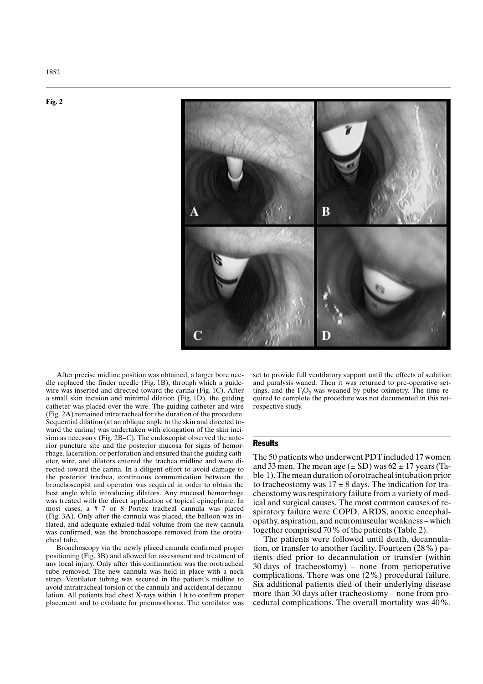

After precise midline position was obtained, a larger bore needle replaced the finder needle (Fig. 1B), through which a guidewire was inserted and directed toward the carina (Fig. 1C). After a small skin incision and minimal dilation (Fig. 1D), the guiding catheter was placed over the wire. The guiding catheter and wire (Fig. 2A) remained intratracheal for the duration of the procedure. Sequential dilation (at an oblique angle to the skin and directed toward the carina) was undertaken with elongation of the skin incision as necessary (Fig. 2B–C). The endoscopist observed the anterior puncture site and the posterior mucosa for signs of hemorrhage, laceration, or perforation and ensured that the guiding catheter, wire, and dilators entered the trachea midline and were directed toward the carina. In a diligent effort to avoid damage to the posterior trachea, continuous communication between the bronchoscopist and operator was required in order to obtain the best angle while introducing dilators. Any mucosal hemorrhage was treated with the direct application of topical epinephrine. In most cases, a # 7 or 8 Portex tracheal cannula was placed (Fig. 3A). Only after the cannula was placed, the balloon was inflated, and adequate exhaled tidal volume from the new cannula was confirmed, was the bronchoscope removed from the orotracheal tube.

Bronchoscopy via the newly placed cannula confirmed proper positioning (Fig. 3B) and allowed for assessment and treatment of any local injury. Only after this confirmation was the orotracheal tube removed. The new cannula was held in place with a neck strap. Ventilator tubing was secured in the patient's midline to avoid intratracheal torsion of the cannula and accidental decannulation. All patients had chest X-rays within 1 h to confirm proper placement and to evaluate for pneumothorax. The ventilator was set to provide full ventilatory support until the effects of sedation and paralysis waned. Then it was returned to pre-operative settings, and the  $F_iO_2$  was weaned by pulse oximetry. The time required to complete the procedure was not documented in this retrospective study.

#### **Results**

The 50 patients who underwent PDT included 17 women and 33 men. The mean age  $(\pm SD)$  was 62  $\pm$  17 years (Table 1). The mean duration of orotracheal intubation prior to tracheostomy was  $17 \pm 8$  days. The indication for tracheostomy was respiratory failure from a variety of medical and surgical causes. The most common causes of respiratory failure were COPD, ARDS, anoxic encephalopathy, aspiration, and neuromuscular weakness - which together comprised 70% of the patients (Table 2).

The patients were followed until death, decannulation, or transfer to another facility. Fourteen (28%) patients died prior to decannulation or transfer (within  $30 \text{ days}$  of tracheostomy) – none from perioperative complications. There was one  $(2\%)$  procedural failure. Six additional patients died of their underlying disease more than 30 days after tracheostomy – none from procedural complications. The overall mortality was 40%.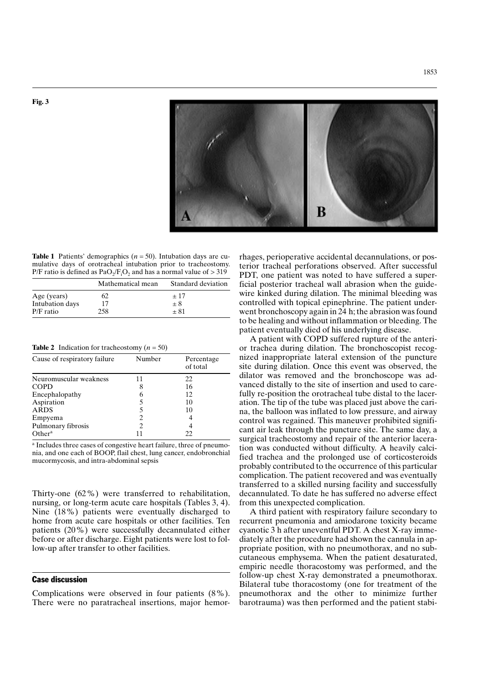

**Table 1** Patients' demographics  $(n = 50)$ . Intubation days are cumulative days of orotracheal intubation prior to tracheostomy. P/F ratio is defined as  $PaO<sub>2</sub>/F<sub>i</sub>O<sub>2</sub>$  and has a normal value of  $>319$ 

|                 | Mathematical mean | Standard deviation |
|-----------------|-------------------|--------------------|
| Age (years)     | 62                | $+17$              |
| Intubation days | 17                | $+8$               |
| $P/F$ ratio     | 258               | + 81               |

**Table 2** Indication for tracheostomy ( $n = 50$ )

| Cause of respiratory failure | Number                        | Percentage<br>of total |
|------------------------------|-------------------------------|------------------------|
| Neuromuscular weakness       | 11                            | 22                     |
| <b>COPD</b>                  | 8                             | 16                     |
| Encephalopathy               | 6                             | 12                     |
| Aspiration                   |                               | 10                     |
| <b>ARDS</b>                  |                               | 10                     |
| Empyema                      |                               | 4                      |
| Pulmonary fibrosis           | $\mathfrak{D}_{\mathfrak{p}}$ |                        |
| Other <sup>a</sup>           |                               | 22                     |

<sup>a</sup> Includes three cases of congestive heart failure, three of pneumonia, and one each of BOOP, flail chest, lung cancer, endobronchial mucormycosis, and intra-abdominal sepsis

Thirty-one  $(62\%)$  were transferred to rehabilitation, nursing, or long-term acute care hospitals (Tables 3, 4). Nine (18%) patients were eventually discharged to home from acute care hospitals or other facilities. Ten patients (20%) were successfully decannulated either before or after discharge. Eight patients were lost to follow-up after transfer to other facilities.

### **Case discussion**

Complications were observed in four patients  $(8\%)$ . There were no paratracheal insertions, major hemorrhages, perioperative accidental decannulations, or posterior tracheal perforations observed. After successful PDT, one patient was noted to have suffered a superficial posterior tracheal wall abrasion when the guidewire kinked during dilation. The minimal bleeding was controlled with topical epinephrine. The patient underwent bronchoscopy again in 24 h; the abrasion was found to be healing and without inflammation or bleeding. The patient eventually died of his underlying disease.

A patient with COPD suffered rupture of the anterior trachea during dilation. The bronchoscopist recognized inappropriate lateral extension of the puncture site during dilation. Once this event was observed, the dilator was removed and the bronchoscope was advanced distally to the site of insertion and used to carefully re-position the orotracheal tube distal to the laceration. The tip of the tube was placed just above the carina, the balloon was inflated to low pressure, and airway control was regained. This maneuver prohibited significant air leak through the puncture site. The same day, a surgical tracheostomy and repair of the anterior laceration was conducted without difficulty. A heavily calcified trachea and the prolonged use of corticosteroids probably contributed to the occurrence of this particular complication. The patient recovered and was eventually transferred to a skilled nursing facility and successfully decannulated. To date he has suffered no adverse effect from this unexpected complication.

A third patient with respiratory failure secondary to recurrent pneumonia and amiodarone toxicity became cyanotic 3 h after uneventful PDT. A chest X-ray immediately after the procedure had shown the cannula in appropriate position, with no pneumothorax, and no subcutaneous emphysema. When the patient desaturated, empiric needle thoracostomy was performed, and the follow-up chest X-ray demonstrated a pneumothorax. Bilateral tube thoracostomy (one for treatment of the pneumothorax and the other to minimize further barotrauma) was then performed and the patient stabi-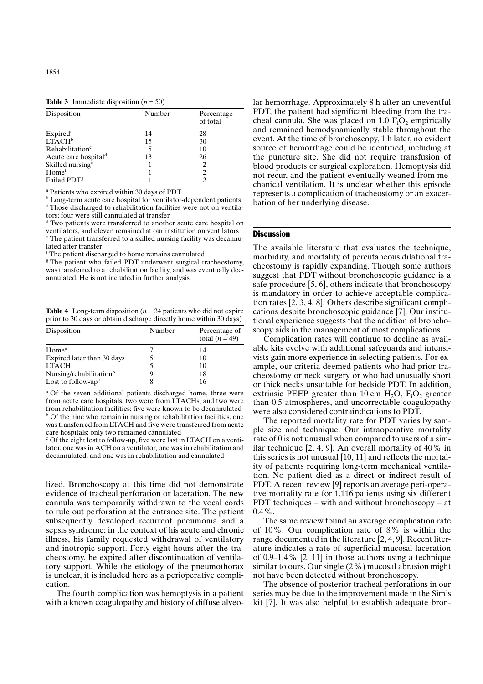**Table 3** Immediate disposition ( $n = 50$ )

| Disposition                                | Number | Percentage<br>of total |
|--------------------------------------------|--------|------------------------|
|                                            | 14     | 28                     |
| Expired <sup>a</sup><br>LTACH <sup>b</sup> | 15     | 30                     |
| Rehabilitation <sup>c</sup>                |        | 10                     |
| Acute care hospital <sup>d</sup>           | 13     | 26                     |
| Skilled nursing <sup>e</sup>               |        | 2                      |
| Home <sup>f</sup>                          |        | 2                      |
| Failed PDT <sup>g</sup>                    |        | 2                      |

<sup>a</sup> Patients who expired within 30 days of PDT

<sup>b</sup> Long-term acute care hospital for ventilator-dependent patients <sup>c</sup> Those discharged to rehabilitation facilities were not on ventilators; four were still cannulated at transfer

<sup>d</sup> Two patients were transferred to another acute care hospital on ventilators, and eleven remained at our institution on ventilators <sup>e</sup> The patient transferred to a skilled nursing facility was decannulated after transfer

<sup>f</sup> The patient discharged to home remains cannulated

<sup>g</sup> The patient who failed PDT underwent surgical tracheostomy, was transferred to a rehabilitation facility, and was eventually decannulated. He is not included in further analysis

**Table 4** Long-term disposition ( $n = 34$  patients who did not expire prior to 30 days or obtain discharge directly home within 30 days)

| Number | Percentage of<br>total $(n = 49)$ |
|--------|-----------------------------------|
|        | 14                                |
|        | 10                                |
|        | 10                                |
| y      | 18                                |
| 8      | 16                                |
|        |                                   |

<sup>a</sup> Of the seven additional patients discharged home, three were from acute care hospitals, two were from LTACHs, and two were from rehabilitation facilities; five were known to be decannulated <sup>b</sup> Of the nine who remain in nursing or rehabilitation facilities, one was transferred from LTACH and five were transferred from acute care hospitals; only two remained cannulated

<sup>c</sup> Of the eight lost to follow-up, five were last in LTACH on a ventilator, one was in ACH on a ventilator, one was in rehabilitation and decannulated, and one was in rehabilitation and cannulated

lized. Bronchoscopy at this time did not demonstrate evidence of tracheal perforation or laceration. The new cannula was temporarily withdrawn to the vocal cords to rule out perforation at the entrance site. The patient subsequently developed recurrent pneumonia and a sepsis syndrome; in the context of his acute and chronic illness, his family requested withdrawal of ventilatory and inotropic support. Forty-eight hours after the tracheostomy, he expired after discontinuation of ventilatory support. While the etiology of the pneumothorax is unclear, it is included here as a perioperative complication.

The fourth complication was hemoptysis in a patient with a known coagulopathy and history of diffuse alveolar hemorrhage. Approximately 8 h after an uneventful PDT, the patient had significant bleeding from the tracheal cannula. She was placed on  $1.0 F<sub>i</sub>O<sub>2</sub>$  empirically and remained hemodynamically stable throughout the event. At the time of bronchoscopy, 1 h later, no evident source of hemorrhage could be identified, including at the puncture site. She did not require transfusion of blood products or surgical exploration. Hemoptysis did not recur, and the patient eventually weaned from mechanical ventilation. It is unclear whether this episode represents a complication of tracheostomy or an exacerbation of her underlying disease.

#### **Discussion**

The available literature that evaluates the technique, morbidity, and mortality of percutaneous dilational tracheostomy is rapidly expanding. Though some authors suggest that PDT without bronchoscopic guidance is a safe procedure  $[5, 6]$ , others indicate that bronchoscopy is mandatory in order to achieve acceptable complication rates  $[2, 3, 4, 8]$ . Others describe significant complications despite bronchoscopic guidance [7]. Our institutional experience suggests that the addition of bronchoscopy aids in the management of most complications.

Complication rates will continue to decline as available kits evolve with additional safeguards and intensivists gain more experience in selecting patients. For example, our criteria deemed patients who had prior tracheostomy or neck surgery or who had unusually short or thick necks unsuitable for bedside PDT. In addition, extrinsic PEEP greater than 10 cm  $H_2O$ ,  $F_3O_2$  greater than 0.5 atmospheres, and uncorrectable coagulopathy were also considered contraindications to PDT.

The reported mortality rate for PDT varies by sample size and technique. Our intraoperative mortality rate of 0 is not unusual when compared to users of a similar technique  $[2, 4, 9]$ . An overall mortality of 40% in this series is not unusual  $[10, 11]$  and reflects the mortality of patients requiring long-term mechanical ventilation. No patient died as a direct or indirect result of PDT. A recent review [9] reports an average peri-operative mortality rate for 1,116 patients using six different PDT techniques – with and without bronchoscopy – at  $0.4\%$ .

The same review found an average complication rate of 10%. Our complication rate of  $8\%$  is within the range documented in the literature [2, 4, 9]. Recent literature indicates a rate of superficial mucosal laceration of  $0.9-1.4\%$  [2, 11] in those authors using a technique similar to ours. Our single  $(2\%)$  mucosal abrasion might not have been detected without bronchoscopy.

The absence of posterior tracheal perforations in our series may be due to the improvement made in the Sim's kit [7]. It was also helpful to establish adequate bron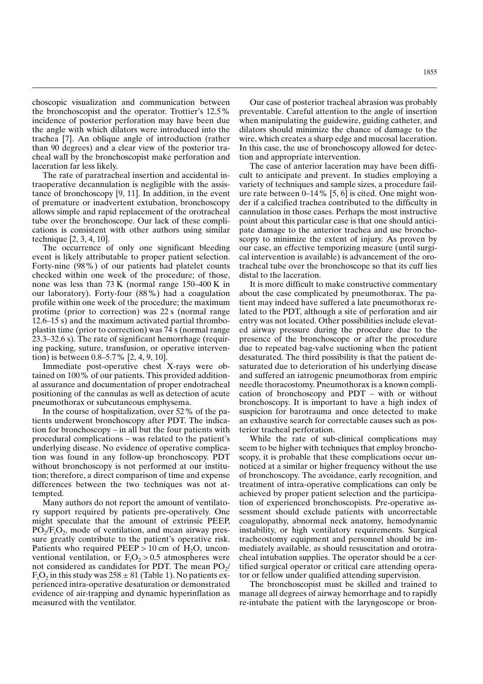choscopic visualization and communication between the bronchoscopist and the operator. Trottier's 12.5% incidence of posterior perforation may have been due the angle with which dilators were introduced into the trachea [7]. An oblique angle of introduction (rather than 90 degrees) and a clear view of the posterior tracheal wall by the bronchoscopist make perforation and laceration far less likely.

The rate of paratracheal insertion and accidental intraoperative decannulation is negligible with the assistance of bronchoscopy  $[9, 11]$ . In addition, in the event of premature or inadvertent extubation, bronchoscopy allows simple and rapid replacement of the orotracheal tube over the bronchoscope. Our lack of these complications is consistent with other authors using similar technique  $[2, 3, 4, 10]$ .

The occurrence of only one significant bleeding event is likely attributable to proper patient selection. Forty-nine (98%) of our patients had platelet counts checked within one week of the procedure; of those, none was less than  $73 K$  (normal range  $150-400 K$  in our laboratory). Forty-four (88%) had a coagulation profile within one week of the procedure; the maximum protime (prior to correction) was 22 s (normal range 12.6–15 s) and the maximum activated partial thromboplastin time (prior to correction) was 74 s (normal range  $23.3-32.6$  s). The rate of significant hemorrhage (requiring packing, suture, transfusion, or operative intervention) is between  $0.8-5.7\%$  [2, 4, 9, 10].

Immediate post-operative chest X-rays were obtained on 100% of our patients. This provided additional assurance and documentation of proper endotracheal positioning of the cannulas as well as detection of acute pneumothorax or subcutaneous emphysema.

In the course of hospitalization, over 52% of the patients underwent bronchoscopy after PDT. The indication for bronchoscopy – in all but the four patients with procedural complications – was related to the patient's underlying disease. No evidence of operative complication was found in any follow-up bronchoscopy. PDT without bronchoscopy is not performed at our institution; therefore, a direct comparison of time and expense differences between the two techniques was not attempted.

Many authors do not report the amount of ventilatory support required by patients pre-operatively. One might speculate that the amount of extrinsic PEEP,  $PO_2/F_1O_2$ , mode of ventilation, and mean airway pressure greatly contribute to the patient's operative risk. Patients who required  $PEEP > 10$  cm of H<sub>2</sub>O, unconventional ventilation, or  $F_1O_2 > 0.5$  atmospheres were not considered as candidates for PDT. The mean  $PO_2/$  $F_1O_2$  in this study was  $258 \pm 81$  (Table 1). No patients experienced intra-operative desaturation or demonstrated evidence of air-trapping and dynamic hyperinflation as measured with the ventilator.

Our case of posterior tracheal abrasion was probably preventable. Careful attention to the angle of insertion when manipulating the guidewire, guiding catheter, and dilators should minimize the chance of damage to the wire, which creates a sharp edge and mucosal laceration. In this case, the use of bronchoscopy allowed for detection and appropriate intervention.

The case of anterior laceration may have been difficult to anticipate and prevent. In studies employing a variety of techniques and sample sizes, a procedure failure rate between  $0-14\%$  [5, 6] is cited. One might wonder if a calcified trachea contributed to the difficulty in cannulation in those cases. Perhaps the most instructive point about this particular case is that one should anticipate damage to the anterior trachea and use bronchoscopy to minimize the extent of injury. As proven by our case, an effective temporizing measure (until surgical intervention is available) is advancement of the orotracheal tube over the bronchoscope so that its cuff lies distal to the laceration.

It is more difficult to make constructive commentary about the case complicated by pneumothorax. The patient may indeed have suffered a late pneumothorax related to the PDT, although a site of perforation and air entry was not located. Other possibilities include elevated airway pressure during the procedure due to the presence of the bronchoscope or after the procedure due to repeated bag-valve suctioning when the patient desaturated. The third possibility is that the patient desaturated due to deterioration of his underlying disease and suffered an iatrogenic pneumothorax from empiric needle thoracostomy. Pneumothorax is a known complication of bronchoscopy and PDT – with or without bronchoscopy. It is important to have a high index of suspicion for barotrauma and once detected to make an exhaustive search for correctable causes such as posterior tracheal perforation.

While the rate of sub-clinical complications may seem to be higher with techniques that employ bronchoscopy, it is probable that these complications occur unnoticed at a similar or higher frequency without the use of bronchoscopy. The avoidance, early recognition, and treatment of intra-operative complications can only be achieved by proper patient selection and the participation of experienced bronchoscopists. Pre-operative assessment should exclude patients with uncorrectable coagulopathy, abnormal neck anatomy, hemodynamic instability, or high ventilatory requirements. Surgical tracheostomy equipment and personnel should be immediately available, as should resuscitation and orotracheal intubation supplies. The operator should be a certified surgical operator or critical care attending operator or fellow under qualified attending supervision.

The bronchoscopist must be skilled and trained to manage all degrees of airway hemorrhage and to rapidly re-intubate the patient with the laryngoscope or bron